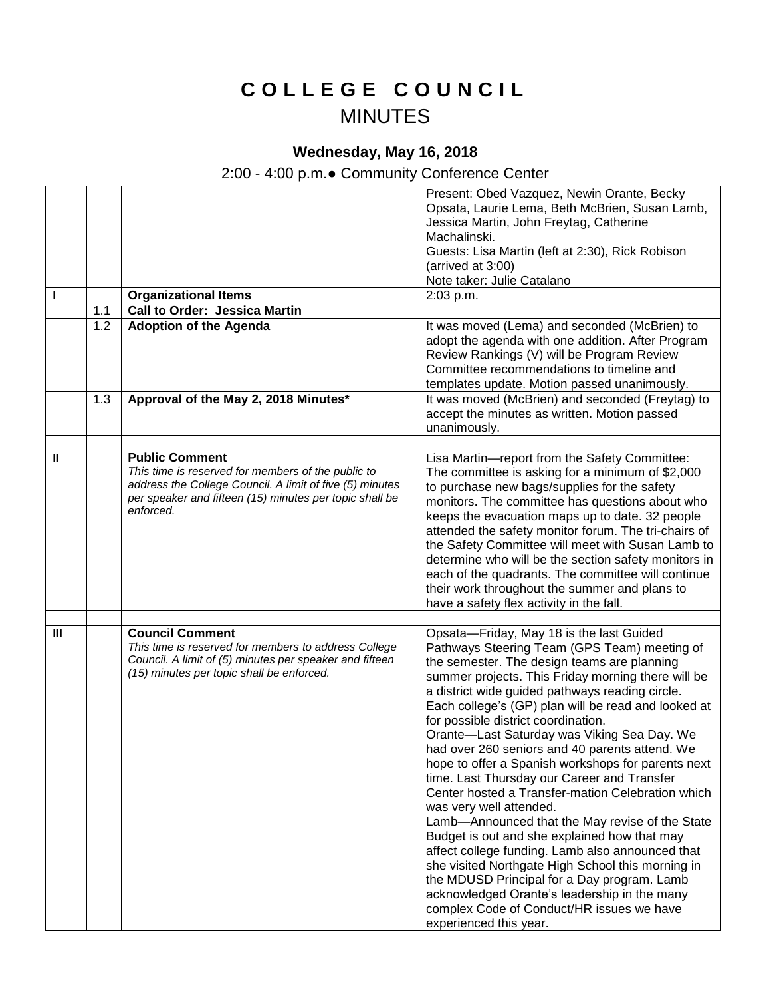## **C O L L E G E C O U N C I L** MINUTES

## **Wednesday, May 16, 2018**

## 2:00 - 4:00 p.m.● Community Conference Center

|     | 1.1<br>1.2<br>1.3 | <b>Organizational Items</b><br><b>Call to Order: Jessica Martin</b><br><b>Adoption of the Agenda</b><br>Approval of the May 2, 2018 Minutes*                                                                    | Present: Obed Vazquez, Newin Orante, Becky<br>Opsata, Laurie Lema, Beth McBrien, Susan Lamb,<br>Jessica Martin, John Freytag, Catherine<br>Machalinski.<br>Guests: Lisa Martin (left at 2:30), Rick Robison<br>(arrived at 3:00)<br>Note taker: Julie Catalano<br>2:03 p.m.<br>It was moved (Lema) and seconded (McBrien) to<br>adopt the agenda with one addition. After Program<br>Review Rankings (V) will be Program Review<br>Committee recommendations to timeline and<br>templates update. Motion passed unanimously.<br>It was moved (McBrien) and seconded (Freytag) to                                                                                                                                                                                                                                                                                                                                                                                                                                       |
|-----|-------------------|-----------------------------------------------------------------------------------------------------------------------------------------------------------------------------------------------------------------|------------------------------------------------------------------------------------------------------------------------------------------------------------------------------------------------------------------------------------------------------------------------------------------------------------------------------------------------------------------------------------------------------------------------------------------------------------------------------------------------------------------------------------------------------------------------------------------------------------------------------------------------------------------------------------------------------------------------------------------------------------------------------------------------------------------------------------------------------------------------------------------------------------------------------------------------------------------------------------------------------------------------|
|     |                   |                                                                                                                                                                                                                 | accept the minutes as written. Motion passed<br>unanimously.                                                                                                                                                                                                                                                                                                                                                                                                                                                                                                                                                                                                                                                                                                                                                                                                                                                                                                                                                           |
| Ш   |                   | <b>Public Comment</b><br>This time is reserved for members of the public to<br>address the College Council. A limit of five (5) minutes<br>per speaker and fifteen (15) minutes per topic shall be<br>enforced. | Lisa Martin-report from the Safety Committee:<br>The committee is asking for a minimum of \$2,000<br>to purchase new bags/supplies for the safety<br>monitors. The committee has questions about who<br>keeps the evacuation maps up to date. 32 people<br>attended the safety monitor forum. The tri-chairs of<br>the Safety Committee will meet with Susan Lamb to<br>determine who will be the section safety monitors in<br>each of the quadrants. The committee will continue<br>their work throughout the summer and plans to<br>have a safety flex activity in the fall.                                                                                                                                                                                                                                                                                                                                                                                                                                        |
| III |                   | <b>Council Comment</b><br>This time is reserved for members to address College<br>Council. A limit of (5) minutes per speaker and fifteen<br>(15) minutes per topic shall be enforced.                          | Opsata-Friday, May 18 is the last Guided<br>Pathways Steering Team (GPS Team) meeting of<br>the semester. The design teams are planning<br>summer projects. This Friday morning there will be<br>a district wide guided pathways reading circle.<br>Each college's (GP) plan will be read and looked at<br>for possible district coordination.<br>Orante-Last Saturday was Viking Sea Day. We<br>had over 260 seniors and 40 parents attend. We<br>hope to offer a Spanish workshops for parents next<br>time. Last Thursday our Career and Transfer<br>Center hosted a Transfer-mation Celebration which<br>was very well attended.<br>Lamb-Announced that the May revise of the State<br>Budget is out and she explained how that may<br>affect college funding. Lamb also announced that<br>she visited Northgate High School this morning in<br>the MDUSD Principal for a Day program. Lamb<br>acknowledged Orante's leadership in the many<br>complex Code of Conduct/HR issues we have<br>experienced this year. |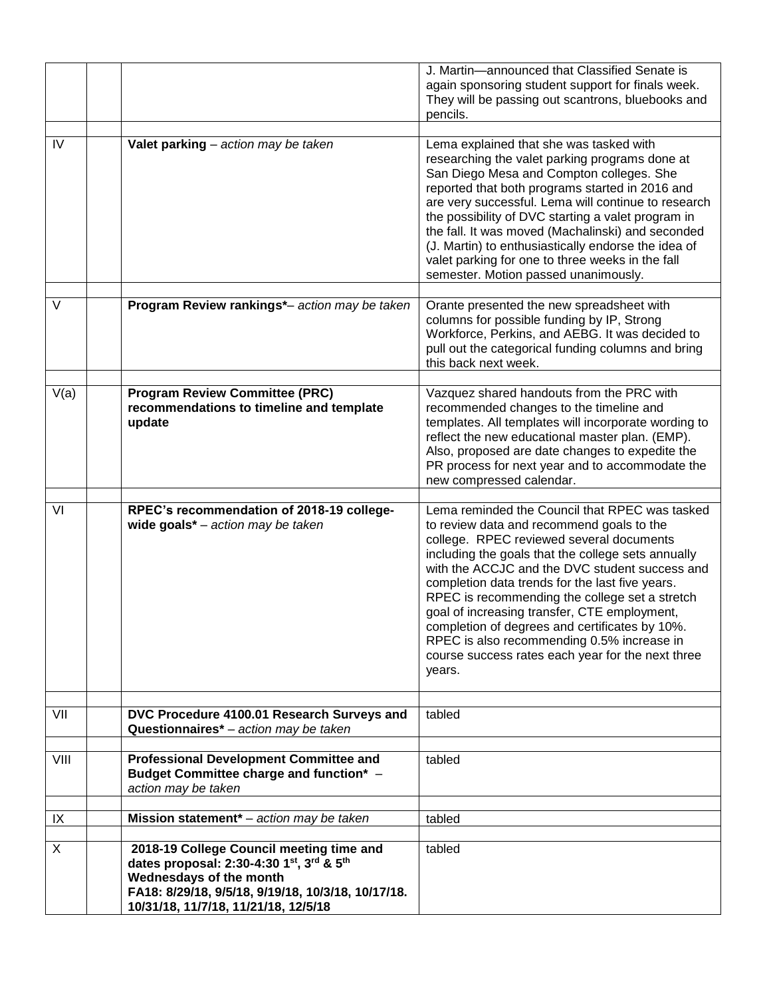|        |                                                                                                                                                                                                                      | J. Martin-announced that Classified Senate is<br>again sponsoring student support for finals week.<br>They will be passing out scantrons, bluebooks and<br>pencils.                                                                                                                                                                                                                                                                                                                                                                                                 |
|--------|----------------------------------------------------------------------------------------------------------------------------------------------------------------------------------------------------------------------|---------------------------------------------------------------------------------------------------------------------------------------------------------------------------------------------------------------------------------------------------------------------------------------------------------------------------------------------------------------------------------------------------------------------------------------------------------------------------------------------------------------------------------------------------------------------|
| IV     | Valet parking - action may be taken                                                                                                                                                                                  | Lema explained that she was tasked with<br>researching the valet parking programs done at<br>San Diego Mesa and Compton colleges. She<br>reported that both programs started in 2016 and<br>are very successful. Lema will continue to research<br>the possibility of DVC starting a valet program in<br>the fall. It was moved (Machalinski) and seconded<br>(J. Martin) to enthusiastically endorse the idea of<br>valet parking for one to three weeks in the fall<br>semester. Motion passed unanimously.                                                       |
| $\vee$ | Program Review rankings*- action may be taken                                                                                                                                                                        | Orante presented the new spreadsheet with<br>columns for possible funding by IP, Strong<br>Workforce, Perkins, and AEBG. It was decided to<br>pull out the categorical funding columns and bring<br>this back next week.                                                                                                                                                                                                                                                                                                                                            |
| V(a)   | <b>Program Review Committee (PRC)</b><br>recommendations to timeline and template<br>update                                                                                                                          | Vazquez shared handouts from the PRC with<br>recommended changes to the timeline and<br>templates. All templates will incorporate wording to<br>reflect the new educational master plan. (EMP).<br>Also, proposed are date changes to expedite the<br>PR process for next year and to accommodate the<br>new compressed calendar.                                                                                                                                                                                                                                   |
| VI     | RPEC's recommendation of 2018-19 college-<br>wide goals* $-$ action may be taken                                                                                                                                     | Lema reminded the Council that RPEC was tasked<br>to review data and recommend goals to the<br>college. RPEC reviewed several documents<br>including the goals that the college sets annually<br>with the ACCJC and the DVC student success and<br>completion data trends for the last five years.<br>RPEC is recommending the college set a stretch<br>goal of increasing transfer, CTE employment,<br>completion of degrees and certificates by 10%.<br>RPEC is also recommending 0.5% increase in<br>course success rates each year for the next three<br>years. |
| VII    | DVC Procedure 4100.01 Research Surveys and<br>Questionnaires* - action may be taken                                                                                                                                  | tabled                                                                                                                                                                                                                                                                                                                                                                                                                                                                                                                                                              |
| VIII   | <b>Professional Development Committee and</b><br>Budget Committee charge and function* -<br>action may be taken                                                                                                      | tabled                                                                                                                                                                                                                                                                                                                                                                                                                                                                                                                                                              |
| IX     | Mission statement* - action may be taken                                                                                                                                                                             | tabled                                                                                                                                                                                                                                                                                                                                                                                                                                                                                                                                                              |
| X      | 2018-19 College Council meeting time and<br>dates proposal: 2:30-4:30 1st, 3rd & 5th<br><b>Wednesdays of the month</b><br>FA18: 8/29/18, 9/5/18, 9/19/18, 10/3/18, 10/17/18.<br>10/31/18, 11/7/18, 11/21/18, 12/5/18 | tabled                                                                                                                                                                                                                                                                                                                                                                                                                                                                                                                                                              |